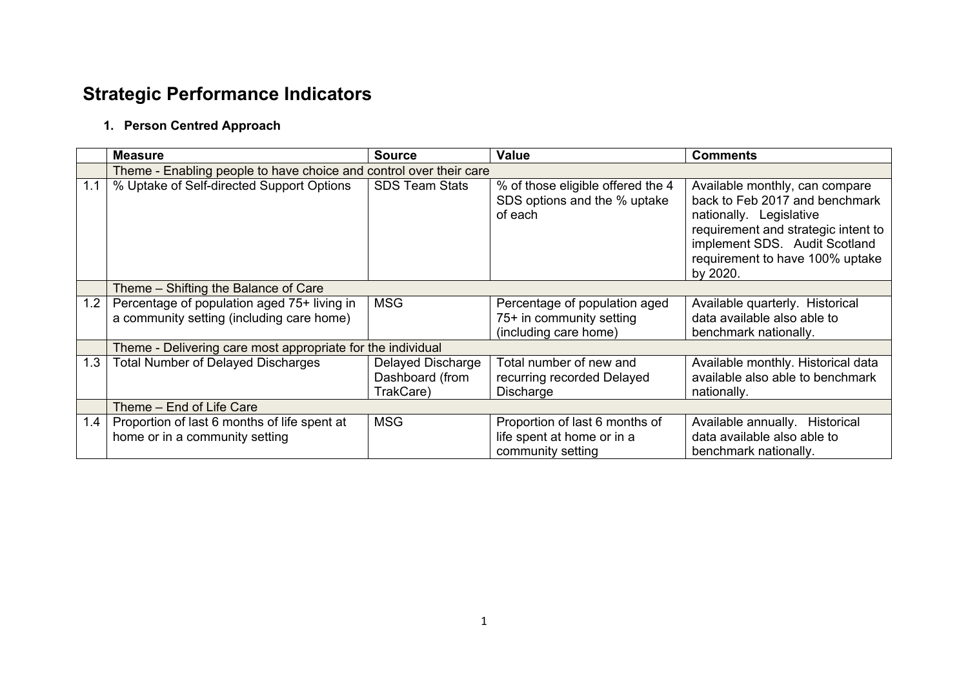# **Strategic Performance Indicators**

#### **1. Person Centred Approach**

|     | <b>Measure</b>                                                                           | <b>Source</b>                                     | <b>Value</b>                                                                       | <b>Comments</b>                                                                                                                                                                                                    |  |  |
|-----|------------------------------------------------------------------------------------------|---------------------------------------------------|------------------------------------------------------------------------------------|--------------------------------------------------------------------------------------------------------------------------------------------------------------------------------------------------------------------|--|--|
|     | Theme - Enabling people to have choice and control over their care                       |                                                   |                                                                                    |                                                                                                                                                                                                                    |  |  |
| 1.1 | % Uptake of Self-directed Support Options                                                | <b>SDS Team Stats</b>                             | % of those eligible offered the 4<br>SDS options and the % uptake<br>of each       | Available monthly, can compare<br>back to Feb 2017 and benchmark<br>nationally. Legislative<br>requirement and strategic intent to<br>implement SDS. Audit Scotland<br>requirement to have 100% uptake<br>by 2020. |  |  |
|     | Theme - Shifting the Balance of Care                                                     |                                                   |                                                                                    |                                                                                                                                                                                                                    |  |  |
| 1.2 | Percentage of population aged 75+ living in<br>a community setting (including care home) | <b>MSG</b>                                        | Percentage of population aged<br>75+ in community setting<br>(including care home) | Available quarterly. Historical<br>data available also able to<br>benchmark nationally.                                                                                                                            |  |  |
|     | Theme - Delivering care most appropriate for the individual                              |                                                   |                                                                                    |                                                                                                                                                                                                                    |  |  |
| 1.3 | <b>Total Number of Delayed Discharges</b>                                                | Delayed Discharge<br>Dashboard (from<br>TrakCare) | Total number of new and<br>recurring recorded Delayed<br>Discharge                 | Available monthly. Historical data<br>available also able to benchmark<br>nationally.                                                                                                                              |  |  |
|     | Theme - End of Life Care                                                                 |                                                   |                                                                                    |                                                                                                                                                                                                                    |  |  |
| 1.4 | Proportion of last 6 months of life spent at<br>home or in a community setting           | <b>MSG</b>                                        | Proportion of last 6 months of<br>life spent at home or in a<br>community setting  | Available annually. Historical<br>data available also able to<br>benchmark nationally.                                                                                                                             |  |  |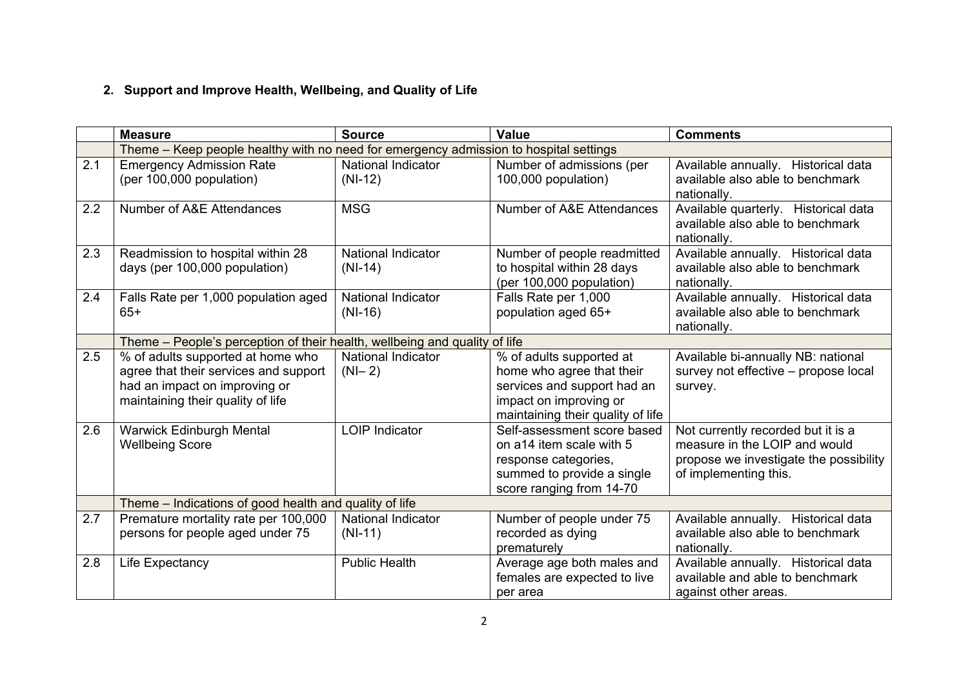## **2. Support and Improve Health, Wellbeing, and Quality of Life**

|     | <b>Measure</b>                                                                                                                                   | <b>Source</b>                          | <b>Value</b>                                                                                                                                        | <b>Comments</b>                                                                                                                        |  |
|-----|--------------------------------------------------------------------------------------------------------------------------------------------------|----------------------------------------|-----------------------------------------------------------------------------------------------------------------------------------------------------|----------------------------------------------------------------------------------------------------------------------------------------|--|
|     | Theme – Keep people healthy with no need for emergency admission to hospital settings                                                            |                                        |                                                                                                                                                     |                                                                                                                                        |  |
| 2.1 | <b>Emergency Admission Rate</b><br>(per 100,000 population)                                                                                      | <b>National Indicator</b><br>$(NI-12)$ | Number of admissions (per<br>100,000 population)                                                                                                    | Available annually. Historical data<br>available also able to benchmark<br>nationally.                                                 |  |
| 2.2 | Number of A&E Attendances                                                                                                                        | <b>MSG</b>                             | Number of A&E Attendances                                                                                                                           | Available quarterly. Historical data<br>available also able to benchmark<br>nationally.                                                |  |
| 2.3 | Readmission to hospital within 28<br>days (per 100,000 population)                                                                               | National Indicator<br>$(NI-14)$        | Number of people readmitted<br>to hospital within 28 days<br>(per 100,000 population)                                                               | Available annually. Historical data<br>available also able to benchmark<br>nationally.                                                 |  |
| 2.4 | Falls Rate per 1,000 population aged<br>65+                                                                                                      | National Indicator<br>$(NI-16)$        | Falls Rate per 1,000<br>population aged 65+                                                                                                         | Available annually. Historical data<br>available also able to benchmark<br>nationally.                                                 |  |
|     | Theme - People's perception of their health, wellbeing and quality of life                                                                       |                                        |                                                                                                                                                     |                                                                                                                                        |  |
| 2.5 | % of adults supported at home who<br>agree that their services and support<br>had an impact on improving or<br>maintaining their quality of life | <b>National Indicator</b><br>$(N - 2)$ | % of adults supported at<br>home who agree that their<br>services and support had an<br>impact on improving or<br>maintaining their quality of life | Available bi-annually NB: national<br>survey not effective – propose local<br>survey.                                                  |  |
| 2.6 | Warwick Edinburgh Mental<br><b>Wellbeing Score</b>                                                                                               | <b>LOIP Indicator</b>                  | Self-assessment score based<br>on a14 item scale with 5<br>response categories,<br>summed to provide a single<br>score ranging from 14-70           | Not currently recorded but it is a<br>measure in the LOIP and would<br>propose we investigate the possibility<br>of implementing this. |  |
|     | Theme - Indications of good health and quality of life                                                                                           |                                        |                                                                                                                                                     |                                                                                                                                        |  |
| 2.7 | Premature mortality rate per 100,000<br>persons for people aged under 75                                                                         | <b>National Indicator</b><br>$(NI-11)$ | Number of people under 75<br>recorded as dying<br>prematurely                                                                                       | Available annually. Historical data<br>available also able to benchmark<br>nationally.                                                 |  |
| 2.8 | Life Expectancy                                                                                                                                  | <b>Public Health</b>                   | Average age both males and<br>females are expected to live<br>per area                                                                              | Available annually. Historical data<br>available and able to benchmark<br>against other areas.                                         |  |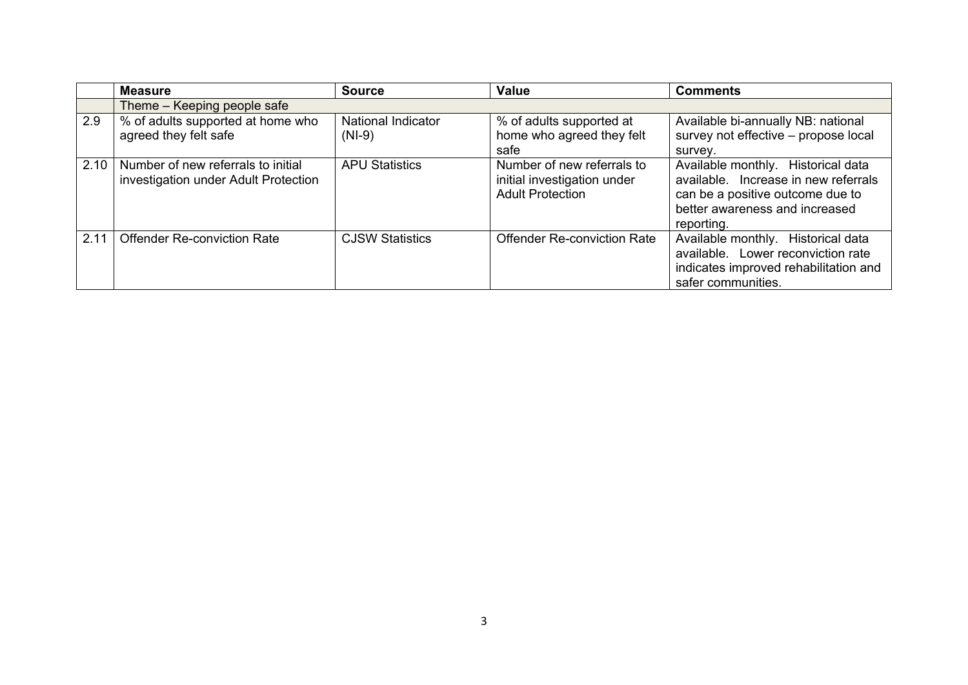|      | <b>Measure</b>                                                             | <b>Source</b>                  | <b>Value</b>                                                                         | <b>Comments</b>                                                                                                                                                |
|------|----------------------------------------------------------------------------|--------------------------------|--------------------------------------------------------------------------------------|----------------------------------------------------------------------------------------------------------------------------------------------------------------|
|      | Theme – Keeping people safe                                                |                                |                                                                                      |                                                                                                                                                                |
| 2.9  | % of adults supported at home who<br>agreed they felt safe                 | National Indicator<br>$(NI-9)$ | % of adults supported at<br>home who agreed they felt<br>safe                        | Available bi-annually NB: national<br>survey not effective - propose local<br>survey.                                                                          |
| 2.10 | Number of new referrals to initial<br>investigation under Adult Protection | <b>APU Statistics</b>          | Number of new referrals to<br>initial investigation under<br><b>Adult Protection</b> | Available monthly. Historical data<br>available. Increase in new referrals<br>can be a positive outcome due to<br>better awareness and increased<br>reporting. |
| 2.11 | <b>Offender Re-conviction Rate</b>                                         | <b>CJSW Statistics</b>         | <b>Offender Re-conviction Rate</b>                                                   | Available monthly. Historical data<br>available. Lower reconviction rate<br>indicates improved rehabilitation and<br>safer communities.                        |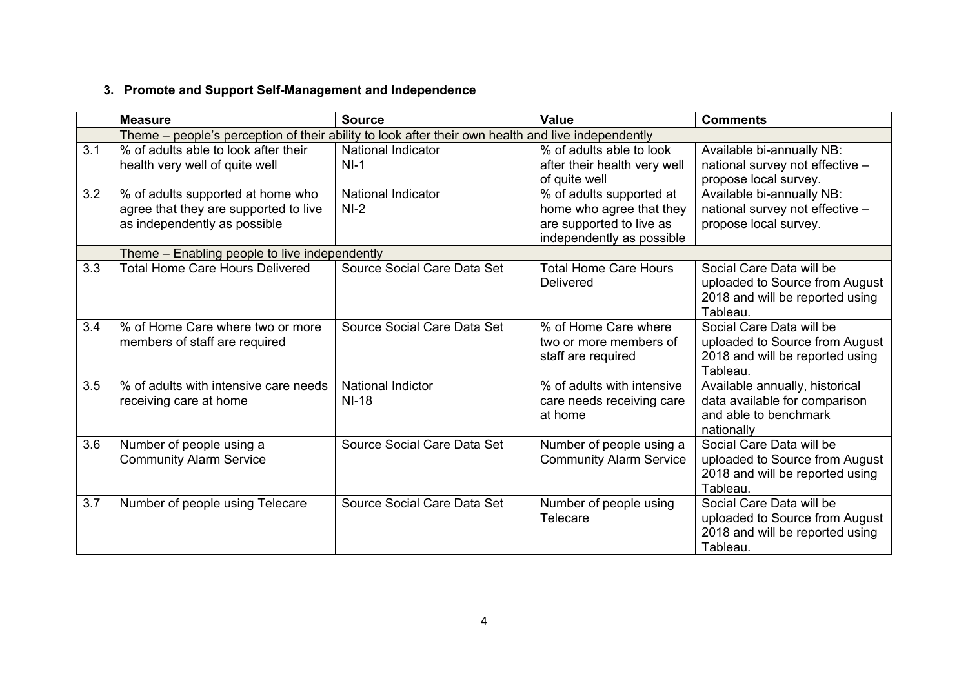### **3. Promote and Support Self-Management and Independence**

|     | <b>Measure</b>                                                                                             | <b>Source</b>                       | Value                                                                                                         | <b>Comments</b>                                                                                           |  |
|-----|------------------------------------------------------------------------------------------------------------|-------------------------------------|---------------------------------------------------------------------------------------------------------------|-----------------------------------------------------------------------------------------------------------|--|
|     | Theme – people's perception of their ability to look after their own health and live independently         |                                     |                                                                                                               |                                                                                                           |  |
| 3.1 | % of adults able to look after their<br>health very well of quite well                                     | <b>National Indicator</b><br>$NI-1$ | % of adults able to look<br>after their health very well<br>of quite well                                     | Available bi-annually NB:<br>national survey not effective -<br>propose local survey.                     |  |
| 3.2 | % of adults supported at home who<br>agree that they are supported to live<br>as independently as possible | <b>National Indicator</b><br>$NI-2$ | % of adults supported at<br>home who agree that they<br>are supported to live as<br>independently as possible | Available bi-annually NB:<br>national survey not effective -<br>propose local survey.                     |  |
|     | Theme - Enabling people to live independently                                                              |                                     |                                                                                                               |                                                                                                           |  |
| 3.3 | <b>Total Home Care Hours Delivered</b>                                                                     | Source Social Care Data Set         | <b>Total Home Care Hours</b><br><b>Delivered</b>                                                              | Social Care Data will be<br>uploaded to Source from August<br>2018 and will be reported using<br>Tableau. |  |
| 3.4 | % of Home Care where two or more<br>members of staff are required                                          | Source Social Care Data Set         | % of Home Care where<br>two or more members of<br>staff are required                                          | Social Care Data will be<br>uploaded to Source from August<br>2018 and will be reported using<br>Tableau. |  |
| 3.5 | % of adults with intensive care needs<br>receiving care at home                                            | National Indictor<br><b>NI-18</b>   | % of adults with intensive<br>care needs receiving care<br>at home                                            | Available annually, historical<br>data available for comparison<br>and able to benchmark<br>nationally    |  |
| 3.6 | Number of people using a<br><b>Community Alarm Service</b>                                                 | Source Social Care Data Set         | Number of people using a<br><b>Community Alarm Service</b>                                                    | Social Care Data will be<br>uploaded to Source from August<br>2018 and will be reported using<br>Tableau. |  |
| 3.7 | Number of people using Telecare                                                                            | Source Social Care Data Set         | Number of people using<br>Telecare                                                                            | Social Care Data will be<br>uploaded to Source from August<br>2018 and will be reported using<br>Tableau. |  |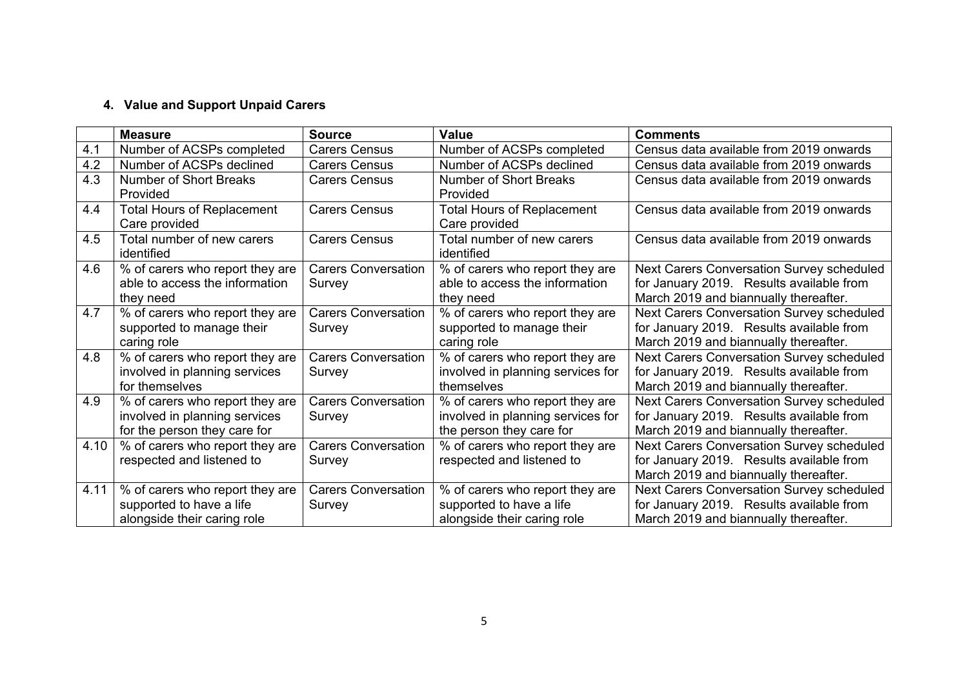#### **4. Value and Support Unpaid Carers**

|      | <b>Measure</b>                    | <b>Source</b>              | <b>Value</b>                      | <b>Comments</b>                           |
|------|-----------------------------------|----------------------------|-----------------------------------|-------------------------------------------|
| 4.1  | Number of ACSPs completed         | <b>Carers Census</b>       | Number of ACSPs completed         | Census data available from 2019 onwards   |
| 4.2  | Number of ACSPs declined          | <b>Carers Census</b>       | Number of ACSPs declined          | Census data available from 2019 onwards   |
| 4.3  | Number of Short Breaks            | <b>Carers Census</b>       | Number of Short Breaks            | Census data available from 2019 onwards   |
|      | Provided                          |                            | Provided                          |                                           |
| 4.4  | <b>Total Hours of Replacement</b> | <b>Carers Census</b>       | <b>Total Hours of Replacement</b> | Census data available from 2019 onwards   |
|      | Care provided                     |                            | Care provided                     |                                           |
| 4.5  | Total number of new carers        | <b>Carers Census</b>       | Total number of new carers        | Census data available from 2019 onwards   |
|      | identified                        |                            | identified                        |                                           |
| 4.6  | % of carers who report they are   | <b>Carers Conversation</b> | % of carers who report they are   | Next Carers Conversation Survey scheduled |
|      | able to access the information    | Survey                     | able to access the information    | for January 2019. Results available from  |
|      | they need                         |                            | they need                         | March 2019 and biannually thereafter.     |
| 4.7  | % of carers who report they are   | <b>Carers Conversation</b> | % of carers who report they are   | Next Carers Conversation Survey scheduled |
|      | supported to manage their         | Survey                     | supported to manage their         | for January 2019. Results available from  |
|      | caring role                       |                            | caring role                       | March 2019 and biannually thereafter.     |
| 4.8  | % of carers who report they are   | <b>Carers Conversation</b> | % of carers who report they are   | Next Carers Conversation Survey scheduled |
|      | involved in planning services     | Survey                     | involved in planning services for | for January 2019. Results available from  |
|      | for themselves                    |                            | themselves                        | March 2019 and biannually thereafter.     |
| 4.9  | % of carers who report they are   | <b>Carers Conversation</b> | % of carers who report they are   | Next Carers Conversation Survey scheduled |
|      | involved in planning services     | Survey                     | involved in planning services for | for January 2019. Results available from  |
|      | for the person they care for      |                            | the person they care for          | March 2019 and biannually thereafter.     |
| 4.10 | % of carers who report they are   | <b>Carers Conversation</b> | % of carers who report they are   | Next Carers Conversation Survey scheduled |
|      | respected and listened to         | Survey                     | respected and listened to         | for January 2019. Results available from  |
|      |                                   |                            |                                   | March 2019 and biannually thereafter.     |
| 4.11 | % of carers who report they are   | <b>Carers Conversation</b> | % of carers who report they are   | Next Carers Conversation Survey scheduled |
|      | supported to have a life          | Survey                     | supported to have a life          | for January 2019. Results available from  |
|      | alongside their caring role       |                            | alongside their caring role       | March 2019 and biannually thereafter.     |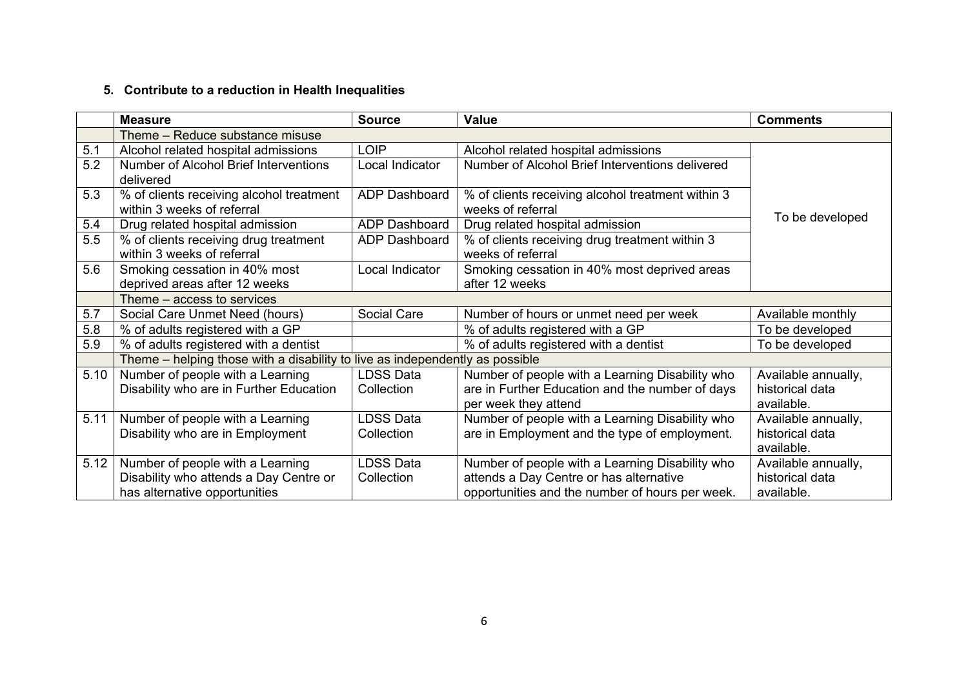#### **5. Contribute to a reduction in Health Inequalities**

|      | <b>Measure</b>                                                               | <b>Source</b>    | <b>Value</b>                                                            | <b>Comments</b>               |  |
|------|------------------------------------------------------------------------------|------------------|-------------------------------------------------------------------------|-------------------------------|--|
|      | Theme - Reduce substance misuse                                              |                  |                                                                         |                               |  |
| 5.1  | Alcohol related hospital admissions                                          | <b>LOIP</b>      | Alcohol related hospital admissions                                     |                               |  |
| 5.2  | Number of Alcohol Brief Interventions<br>delivered                           | Local Indicator  | Number of Alcohol Brief Interventions delivered                         |                               |  |
| 5.3  | % of clients receiving alcohol treatment<br>within 3 weeks of referral       | ADP Dashboard    | % of clients receiving alcohol treatment within 3<br>weeks of referral  |                               |  |
| 5.4  | Drug related hospital admission                                              | ADP Dashboard    | Drug related hospital admission                                         | To be developed               |  |
| 5.5  | % of clients receiving drug treatment<br>within 3 weeks of referral          | ADP Dashboard    | % of clients receiving drug treatment within 3<br>weeks of referral     |                               |  |
| 5.6  | Smoking cessation in 40% most<br>deprived areas after 12 weeks               | Local Indicator  | Smoking cessation in 40% most deprived areas<br>after 12 weeks          |                               |  |
|      | Theme – access to services                                                   |                  |                                                                         |                               |  |
| 5.7  | Social Care Unmet Need (hours)                                               | Social Care      | Number of hours or unmet need per week                                  | Available monthly             |  |
| 5.8  | % of adults registered with a GP                                             |                  | % of adults registered with a GP                                        | To be developed               |  |
| 5.9  | % of adults registered with a dentist                                        |                  | % of adults registered with a dentist                                   | To be developed               |  |
|      | Theme – helping those with a disability to live as independently as possible |                  |                                                                         |                               |  |
| 5.10 | Number of people with a Learning                                             | <b>LDSS Data</b> | Number of people with a Learning Disability who                         | Available annually,           |  |
|      | Disability who are in Further Education                                      | Collection       | are in Further Education and the number of days<br>per week they attend | historical data<br>available. |  |
| 5.11 | Number of people with a Learning                                             | <b>LDSS Data</b> | Number of people with a Learning Disability who                         | Available annually,           |  |
|      | Disability who are in Employment                                             | Collection       | are in Employment and the type of employment.                           | historical data<br>available. |  |
| 5.12 | Number of people with a Learning                                             | <b>LDSS Data</b> | Number of people with a Learning Disability who                         | Available annually,           |  |
|      | Disability who attends a Day Centre or                                       | Collection       | attends a Day Centre or has alternative                                 | historical data               |  |
|      | has alternative opportunities                                                |                  | opportunities and the number of hours per week.                         | available.                    |  |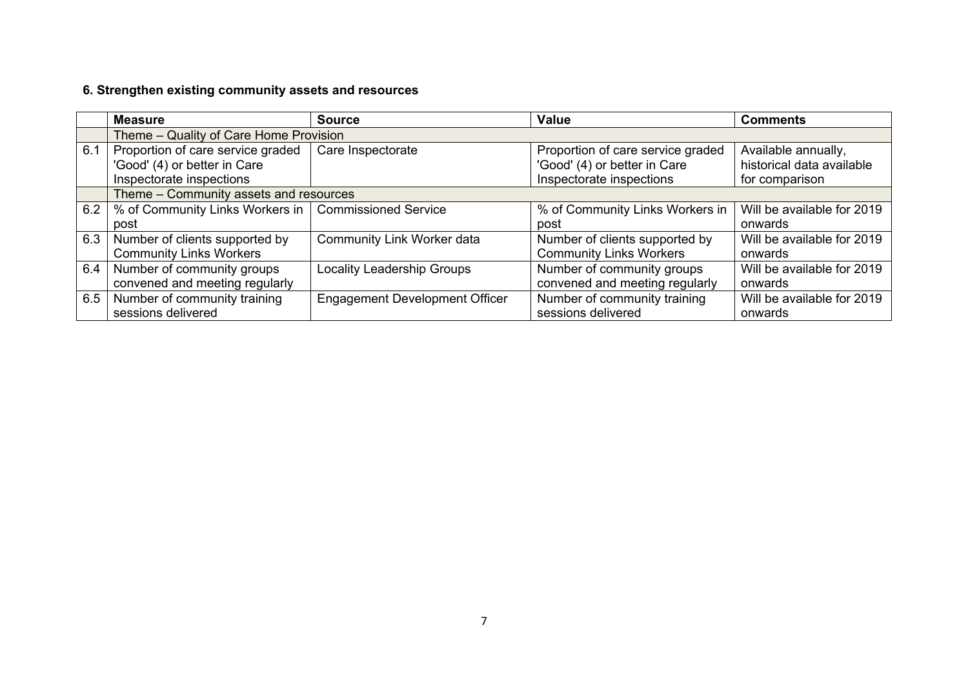### **6. Strengthen existing community assets and resources**

|     | <b>Measure</b>                                                                                | <b>Source</b>                         | <b>Value</b>                                                                                  | <b>Comments</b>                                                    |  |
|-----|-----------------------------------------------------------------------------------------------|---------------------------------------|-----------------------------------------------------------------------------------------------|--------------------------------------------------------------------|--|
|     | Theme - Quality of Care Home Provision                                                        |                                       |                                                                                               |                                                                    |  |
| 6.1 | Proportion of care service graded<br>'Good' (4) or better in Care<br>Inspectorate inspections | Care Inspectorate                     | Proportion of care service graded<br>'Good' (4) or better in Care<br>Inspectorate inspections | Available annually,<br>historical data available<br>for comparison |  |
|     | Theme - Community assets and resources                                                        |                                       |                                                                                               |                                                                    |  |
|     | 6.2   % of Community Links Workers in                                                         | <b>Commissioned Service</b>           | % of Community Links Workers in                                                               | Will be available for 2019                                         |  |
|     | post                                                                                          |                                       | post                                                                                          | onwards                                                            |  |
| 6.3 | Number of clients supported by                                                                | Community Link Worker data            | Number of clients supported by                                                                | Will be available for 2019                                         |  |
|     | <b>Community Links Workers</b>                                                                |                                       | <b>Community Links Workers</b>                                                                | onwards                                                            |  |
| 6.4 | Number of community groups                                                                    | <b>Locality Leadership Groups</b>     | Number of community groups                                                                    | Will be available for 2019                                         |  |
|     | convened and meeting regularly                                                                |                                       | convened and meeting regularly                                                                | onwards                                                            |  |
| 6.5 | Number of community training                                                                  | <b>Engagement Development Officer</b> | Number of community training                                                                  | Will be available for 2019                                         |  |
|     | sessions delivered                                                                            |                                       | sessions delivered                                                                            | onwards                                                            |  |